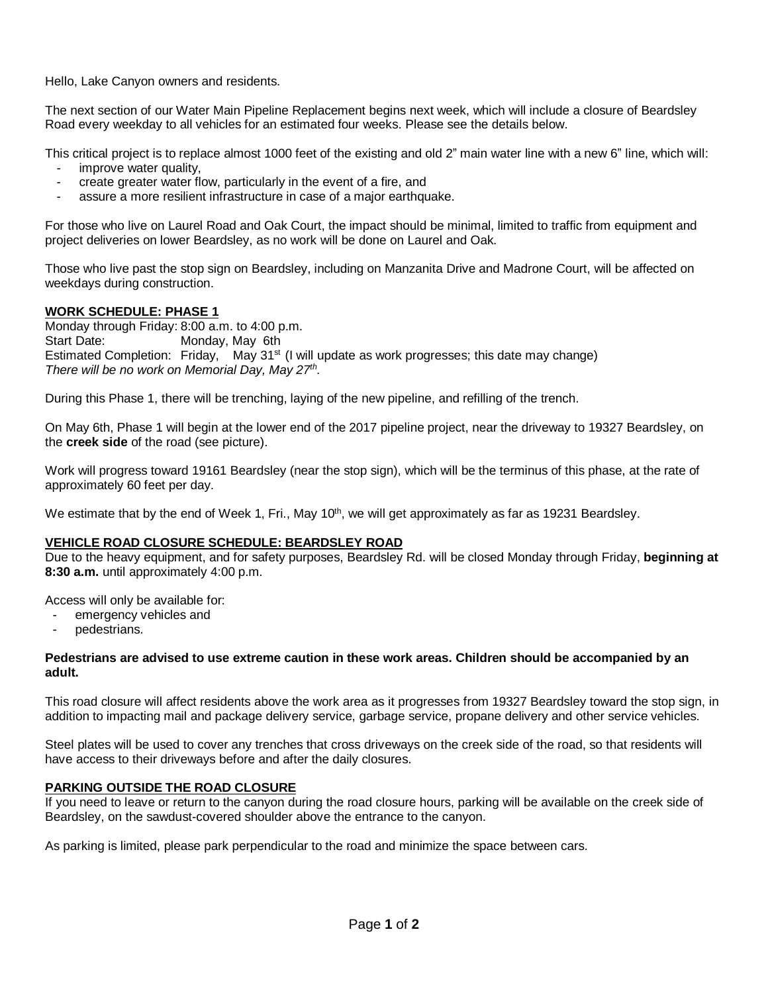Hello, Lake Canyon owners and residents.

The next section of our Water Main Pipeline Replacement begins next week, which will include a closure of Beardsley Road every weekday to all vehicles for an estimated four weeks. Please see the details below.

This critical project is to replace almost 1000 feet of the existing and old 2" main water line with a new 6" line, which will:

- improve water quality,
- create greater water flow, particularly in the event of a fire, and
- assure a more resilient infrastructure in case of a major earthquake.

For those who live on Laurel Road and Oak Court, the impact should be minimal, limited to traffic from equipment and project deliveries on lower Beardsley, as no work will be done on Laurel and Oak.

Those who live past the stop sign on Beardsley, including on Manzanita Drive and Madrone Court, will be affected on weekdays during construction.

# **WORK SCHEDULE: PHASE 1**

Monday through Friday: 8:00 a.m. to 4:00 p.m. Start Date: Monday, May 6th Estimated Completion: Friday, May  $31<sup>st</sup>$  (I will update as work progresses; this date may change) *There will be no work on Memorial Day, May 27th .*

During this Phase 1, there will be trenching, laying of the new pipeline, and refilling of the trench.

On May 6th, Phase 1 will begin at the lower end of the 2017 pipeline project, near the driveway to 19327 Beardsley, on the **creek side** of the road (see picture).

Work will progress toward 19161 Beardsley (near the stop sign), which will be the terminus of this phase, at the rate of approximately 60 feet per day.

We estimate that by the end of Week 1, Fri., May 10<sup>th</sup>, we will get approximately as far as 19231 Beardsley.

# **VEHICLE ROAD CLOSURE SCHEDULE: BEARDSLEY ROAD**

Due to the heavy equipment, and for safety purposes, Beardsley Rd. will be closed Monday through Friday, **beginning at 8:30 a.m.** until approximately 4:00 p.m.

Access will only be available for:

- emergency vehicles and
- pedestrians.

### **Pedestrians are advised to use extreme caution in these work areas. Children should be accompanied by an adult.**

This road closure will affect residents above the work area as it progresses from 19327 Beardsley toward the stop sign, in addition to impacting mail and package delivery service, garbage service, propane delivery and other service vehicles.

Steel plates will be used to cover any trenches that cross driveways on the creek side of the road, so that residents will have access to their driveways before and after the daily closures.

# **PARKING OUTSIDE THE ROAD CLOSURE**

If you need to leave or return to the canyon during the road closure hours, parking will be available on the creek side of Beardsley, on the sawdust-covered shoulder above the entrance to the canyon.

As parking is limited, please park perpendicular to the road and minimize the space between cars.